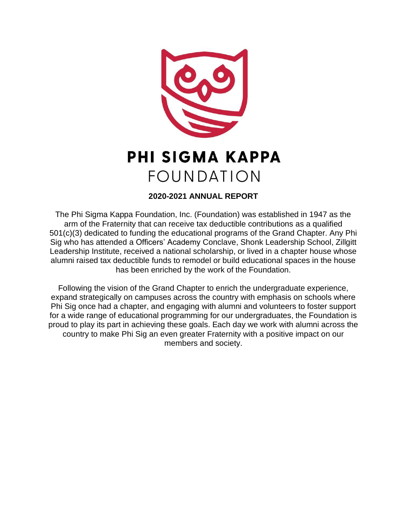

# **PHI SIGMA KAPPA FOUNDATION**

# **2020-2021 ANNUAL REPORT**

The Phi Sigma Kappa Foundation, Inc. (Foundation) was established in 1947 as the arm of the Fraternity that can receive tax deductible contributions as a qualified 501(c)(3) dedicated to funding the educational programs of the Grand Chapter. Any Phi Sig who has attended a Officers' Academy Conclave, Shonk Leadership School, Zillgitt Leadership Institute, received a national scholarship, or lived in a chapter house whose alumni raised tax deductible funds to remodel or build educational spaces in the house has been enriched by the work of the Foundation.

Following the vision of the Grand Chapter to enrich the undergraduate experience, expand strategically on campuses across the country with emphasis on schools where Phi Sig once had a chapter, and engaging with alumni and volunteers to foster support for a wide range of educational programming for our undergraduates, the Foundation is proud to play its part in achieving these goals. Each day we work with alumni across the country to make Phi Sig an even greater Fraternity with a positive impact on our members and society.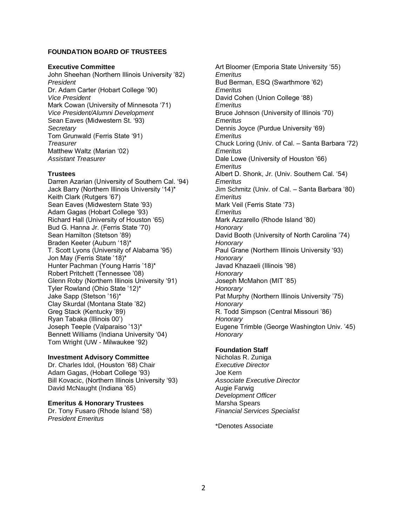#### **FOUNDATION BOARD OF TRUSTEES**

#### **Executive Committee**

John Sheehan (Northern Illinois University '82) *President* Dr. Adam Carter (Hobart College '90) *Vice President* Mark Cowan (University of Minnesota '71) *Vice President/Alumni Development* Sean Eaves (Midwestern St. '93) *Secretary* Tom Grunwald (Ferris State '91) *Treasurer* Matthew Waltz (Marian '02) *Assistant Treasurer*

#### **Trustees**

Darren Azarian (University of Southern Cal. '94) Jack Barry (Northern Illinois University '14)\* Keith Clark (Rutgers '67) Sean Eaves (Midwestern State '93) Adam Gagas (Hobart College '93) Richard Hall (University of Houston '65) Bud G. Hanna Jr. (Ferris State '70) Sean Hamilton (Stetson '89) Braden Keeter (Auburn '18)\* T. Scott Lyons (University of Alabama '95) Jon May (Ferris State '18)\* Hunter Pachman (Young Harris '18)\* Robert Pritchett (Tennessee '08) Glenn Roby (Northern Illinois University '91) Tyler Rowland (Ohio State '12)\* Jake Sapp (Stetson '16)\* Clay Skurdal (Montana State '82) Greg Stack (Kentucky '89) Ryan Tabaka (Illinois 00') Joseph Teeple (Valparaiso '13)\* Bennett Williams (Indiana University '04) Tom Wright (UW - Milwaukee '92)

#### **Investment Advisory Committee**

Dr. Charles Idol, (Houston '68) Chair Adam Gagas, (Hobart College '93) Bill Kovacic, (Northern Illinois University '93) David McNaught (Indiana '65)

#### **Emeritus & Honorary Trustees**

Dr. Tony Fusaro (Rhode Island '58) *President Emeritus*

Art Bloomer (Emporia State University '55) *Emeritus* Bud Berman, ESQ (Swarthmore '62) *Emeritus* David Cohen (Union College '88) *Emeritus* Bruce Johnson (University of Illinois '70) *Emeritus*  Dennis Joyce (Purdue University '69) *Emeritus* Chuck Loring (Univ. of Cal. – Santa Barbara '72) *Emeritus* Dale Lowe (University of Houston '66) *Emeritus* Albert D. Shonk, Jr. (Univ. Southern Cal. '54) *Emeritus* Jim Schmitz (Univ. of Cal. – Santa Barbara '80) *Emeritus* Mark Veil (Ferris State '73) *Emeritus* Mark Azzarello (Rhode Island '80) *Honorary* David Booth (University of North Carolina '74) *Honorary* Paul Grane (Northern Illinois University '93) *Honorary* Javad Khazaeli (Illinois '98) *Honorary* Joseph McMahon (MIT '85) *Honorary* Pat Murphy (Northern Illinois University '75) *Honorary* R. Todd Simpson (Central Missouri '86) *Honorary* Eugene Trimble (George Washington Univ. '45) *Honorary*

#### **Foundation Staff**

Nicholas R. Zuniga *Executive Director* Joe Kern *Associate Executive Director* Augie Farwig *Development Officer* Marsha Spears *Financial Services Specialist* 

\*Denotes Associate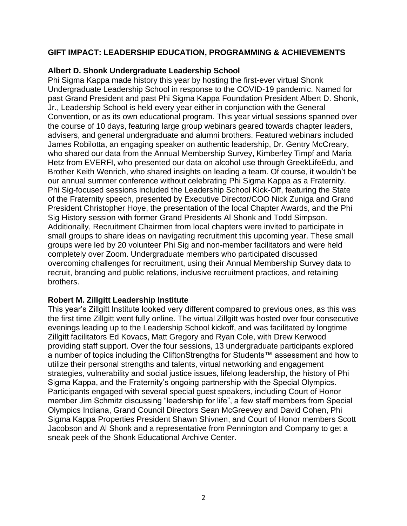# **GIFT IMPACT: LEADERSHIP EDUCATION, PROGRAMMING & ACHIEVEMENTS**

## **Albert D. Shonk Undergraduate Leadership School**

Phi Sigma Kappa made history this year by hosting the first-ever virtual Shonk Undergraduate Leadership School in response to the COVID-19 pandemic. Named for past Grand President and past Phi Sigma Kappa Foundation President Albert D. Shonk, Jr., Leadership School is held every year either in conjunction with the General Convention, or as its own educational program. This year virtual sessions spanned over the course of 10 days, featuring large group webinars geared towards chapter leaders, advisers, and general undergraduate and alumni brothers. Featured webinars included James Robilotta, an engaging speaker on authentic leadership, Dr. Gentry McCreary, who shared our data from the Annual Membership Survey, Kimberley Timpf and Maria Hetz from EVERFI, who presented our data on alcohol use through GreekLifeEdu, and Brother Keith Wenrich, who shared insights on leading a team. Of course, it wouldn't be our annual summer conference without celebrating Phi Sigma Kappa as a Fraternity. Phi Sig-focused sessions included the Leadership School Kick-Off, featuring the State of the Fraternity speech, presented by Executive Director/COO Nick Zuniga and Grand President Christopher Hoye, the presentation of the local Chapter Awards, and the Phi Sig History session with former Grand Presidents Al Shonk and Todd Simpson. Additionally, Recruitment Chairmen from local chapters were invited to participate in small groups to share ideas on navigating recruitment this upcoming year. These small groups were led by 20 volunteer Phi Sig and non-member facilitators and were held completely over Zoom. Undergraduate members who participated discussed overcoming challenges for recruitment, using their Annual Membership Survey data to recruit, branding and public relations, inclusive recruitment practices, and retaining brothers.

## **Robert M. Zillgitt Leadership Institute**

This year's Zillgitt Institute looked very different compared to previous ones, as this was the first time Zillgitt went fully online. The virtual Zillgitt was hosted over four consecutive evenings leading up to the Leadership School kickoff, and was facilitated by longtime Zillgitt facilitators Ed Kovacs, Matt Gregory and Ryan Cole, with Drew Kerwood providing staff support. Over the four sessions, 13 undergraduate participants explored a number of topics including the CliftonStrengths for Students™ assessment and how to utilize their personal strengths and talents, virtual networking and engagement strategies, vulnerability and social justice issues, lifelong leadership, the history of Phi Sigma Kappa, and the Fraternity's ongoing partnership with the Special Olympics. Participants engaged with several special guest speakers, including Court of Honor member Jim Schmitz discussing "leadership for life", a few staff members from Special Olympics Indiana, Grand Council Directors Sean McGreevey and David Cohen, Phi Sigma Kappa Properties President Shawn Shivnen, and Court of Honor members Scott Jacobson and Al Shonk and a representative from Pennington and Company to get a sneak peek of the Shonk Educational Archive Center.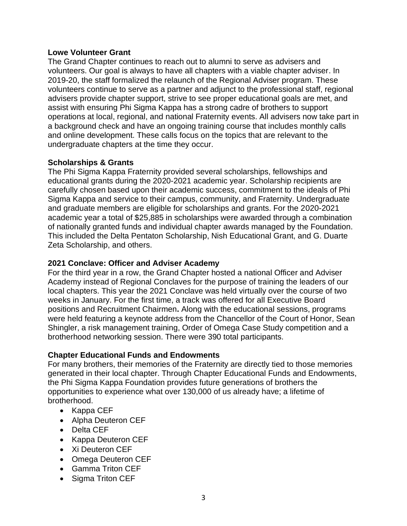## **Lowe Volunteer Grant**

The Grand Chapter continues to reach out to alumni to serve as advisers and volunteers. Our goal is always to have all chapters with a viable chapter adviser. In 2019-20, the staff formalized the relaunch of the Regional Adviser program. These volunteers continue to serve as a partner and adjunct to the professional staff, regional advisers provide chapter support, strive to see proper educational goals are met, and assist with ensuring Phi Sigma Kappa has a strong cadre of brothers to support operations at local, regional, and national Fraternity events. All advisers now take part in a background check and have an ongoing training course that includes monthly calls and online development. These calls focus on the topics that are relevant to the undergraduate chapters at the time they occur.

# **Scholarships & Grants**

The Phi Sigma Kappa Fraternity provided several scholarships, fellowships and educational grants during the 2020-2021 academic year. Scholarship recipients are carefully chosen based upon their academic success, commitment to the ideals of Phi Sigma Kappa and service to their campus, community, and Fraternity. Undergraduate and graduate members are eligible for scholarships and grants. For the 2020-2021 academic year a total of \$25,885 in scholarships were awarded through a combination of nationally granted funds and individual chapter awards managed by the Foundation. This included the Delta Pentaton Scholarship, Nish Educational Grant, and G. Duarte Zeta Scholarship, and others.

## **2021 Conclave: Officer and Adviser Academy**

For the third year in a row, the Grand Chapter hosted a national Officer and Adviser Academy instead of Regional Conclaves for the purpose of training the leaders of our local chapters. This year the 2021 Conclave was held virtually over the course of two weeks in January. For the first time, a track was offered for all Executive Board positions and Recruitment Chairmen**.** Along with the educational sessions, programs were held featuring a keynote address from the Chancellor of the Court of Honor, Sean Shingler, a risk management training, Order of Omega Case Study competition and a brotherhood networking session. There were 390 total participants.

## **Chapter Educational Funds and Endowments**

For many brothers, their memories of the Fraternity are directly tied to those memories generated in their local chapter. Through Chapter Educational Funds and Endowments, the Phi Sigma Kappa Foundation provides future generations of brothers the opportunities to experience what over 130,000 of us already have; a lifetime of brotherhood.

- Kappa CEF
- Alpha Deuteron CEF
- Delta CEF
- Kappa Deuteron CEF
- Xi Deuteron CEF
- Omega Deuteron CEF
- Gamma Triton CEF
- Sigma Triton CEF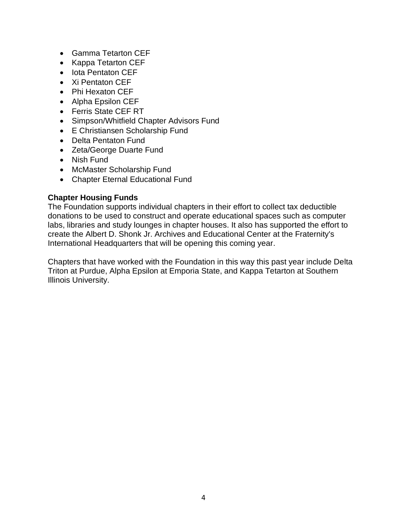- Gamma Tetarton CEF
- Kappa Tetarton CEF
- Iota Pentaton CEF
- Xi Pentaton CEF
- Phi Hexaton CEF
- Alpha Epsilon CEF
- Ferris State CEF RT
- Simpson/Whitfield Chapter Advisors Fund
- E Christiansen Scholarship Fund
- Delta Pentaton Fund
- Zeta/George Duarte Fund
- Nish Fund
- McMaster Scholarship Fund
- Chapter Eternal Educational Fund

## **Chapter Housing Funds**

The Foundation supports individual chapters in their effort to collect tax deductible donations to be used to construct and operate educational spaces such as computer labs, libraries and study lounges in chapter houses. It also has supported the effort to create the Albert D. Shonk Jr. Archives and Educational Center at the Fraternity's International Headquarters that will be opening this coming year.

Chapters that have worked with the Foundation in this way this past year include Delta Triton at Purdue, Alpha Epsilon at Emporia State, and Kappa Tetarton at Southern Illinois University.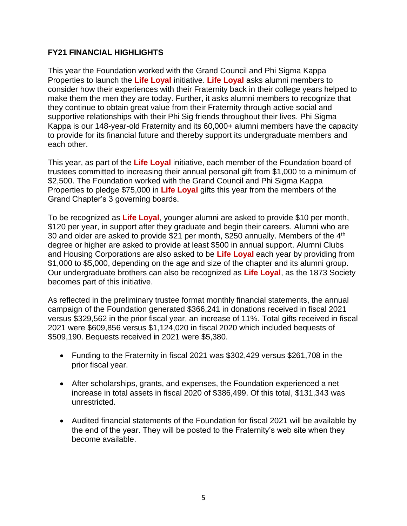# **FY21 FINANCIAL HIGHLIGHTS**

This year the Foundation worked with the Grand Council and Phi Sigma Kappa Properties to launch the **Life Loyal** initiative. **Life Loyal** asks alumni members to consider how their experiences with their Fraternity back in their college years helped to make them the men they are today. Further, it asks alumni members to recognize that they continue to obtain great value from their Fraternity through active social and supportive relationships with their Phi Sig friends throughout their lives. Phi Sigma Kappa is our 148-year-old Fraternity and its 60,000+ alumni members have the capacity to provide for its financial future and thereby support its undergraduate members and each other.

This year, as part of the **Life Loyal** initiative, each member of the Foundation board of trustees committed to increasing their annual personal gift from \$1,000 to a minimum of \$2,500. The Foundation worked with the Grand Council and Phi Sigma Kappa Properties to pledge \$75,000 in **Life Loyal** gifts this year from the members of the Grand Chapter's 3 governing boards.

To be recognized as **Life Loyal**, younger alumni are asked to provide \$10 per month, \$120 per year, in support after they graduate and begin their careers. Alumni who are 30 and older are asked to provide \$21 per month, \$250 annually. Members of the 4<sup>th</sup> degree or higher are asked to provide at least \$500 in annual support. Alumni Clubs and Housing Corporations are also asked to be **Life Loyal** each year by providing from \$1,000 to \$5,000, depending on the age and size of the chapter and its alumni group. Our undergraduate brothers can also be recognized as **Life Loyal**, as the 1873 Society becomes part of this initiative.

As reflected in the preliminary trustee format monthly financial statements, the annual campaign of the Foundation generated \$366,241 in donations received in fiscal 2021 versus \$329,562 in the prior fiscal year, an increase of 11%. Total gifts received in fiscal 2021 were \$609,856 versus \$1,124,020 in fiscal 2020 which included bequests of \$509,190. Bequests received in 2021 were \$5,380.

- Funding to the Fraternity in fiscal 2021 was \$302,429 versus \$261,708 in the prior fiscal year.
- After scholarships, grants, and expenses, the Foundation experienced a net increase in total assets in fiscal 2020 of \$386,499. Of this total, \$131,343 was unrestricted.
- Audited financial statements of the Foundation for fiscal 2021 will be available by the end of the year. They will be posted to the Fraternity's web site when they become available.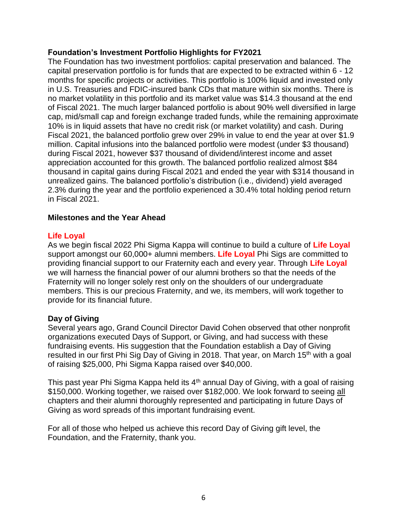## **Foundation's Investment Portfolio Highlights for FY2021**

The Foundation has two investment portfolios: capital preservation and balanced. The capital preservation portfolio is for funds that are expected to be extracted within 6 - 12 months for specific projects or activities. This portfolio is 100% liquid and invested only in U.S. Treasuries and FDIC-insured bank CDs that mature within six months. There is no market volatility in this portfolio and its market value was \$14.3 thousand at the end of Fiscal 2021. The much larger balanced portfolio is about 90% well diversified in large cap, mid/small cap and foreign exchange traded funds, while the remaining approximate 10% is in liquid assets that have no credit risk (or market volatility) and cash. During Fiscal 2021, the balanced portfolio grew over 29% in value to end the year at over \$1.9 million. Capital infusions into the balanced portfolio were modest (under \$3 thousand) during Fiscal 2021, however \$37 thousand of dividend/interest income and asset appreciation accounted for this growth. The balanced portfolio realized almost \$84 thousand in capital gains during Fiscal 2021 and ended the year with \$314 thousand in unrealized gains. The balanced portfolio's distribution (i.e., dividend) yield averaged 2.3% during the year and the portfolio experienced a 30.4% total holding period return in Fiscal 2021.

# **Milestones and the Year Ahead**

# **Life Loyal**

As we begin fiscal 2022 Phi Sigma Kappa will continue to build a culture of **Life Loyal** support amongst our 60,000+ alumni members. **Life Loyal** Phi Sigs are committed to providing financial support to our Fraternity each and every year. Through **Life Loyal** we will harness the financial power of our alumni brothers so that the needs of the Fraternity will no longer solely rest only on the shoulders of our undergraduate members. This is our precious Fraternity, and we, its members, will work together to provide for its financial future.

## **Day of Giving**

Several years ago, Grand Council Director David Cohen observed that other nonprofit organizations executed Days of Support, or Giving, and had success with these fundraising events. His suggestion that the Foundation establish a Day of Giving resulted in our first Phi Sig Day of Giving in 2018. That year, on March 15<sup>th</sup> with a goal of raising \$25,000, Phi Sigma Kappa raised over \$40,000.

This past year Phi Sigma Kappa held its  $4<sup>th</sup>$  annual Day of Giving, with a goal of raising \$150,000. Working together, we raised over \$182,000. We look forward to seeing all chapters and their alumni thoroughly represented and participating in future Days of Giving as word spreads of this important fundraising event.

For all of those who helped us achieve this record Day of Giving gift level, the Foundation, and the Fraternity, thank you.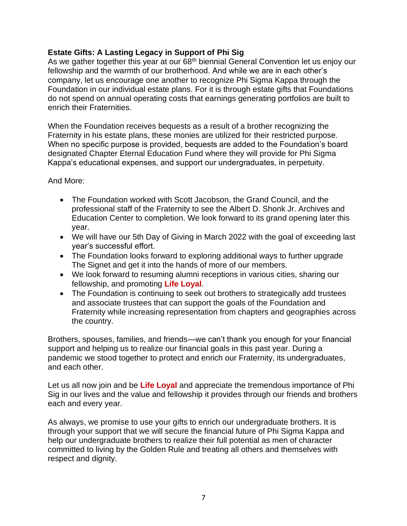# **Estate Gifts: A Lasting Legacy in Support of Phi Sig**

As we gather together this year at our 68<sup>th</sup> biennial General Convention let us enjoy our fellowship and the warmth of our brotherhood. And while we are in each other's company, let us encourage one another to recognize Phi Sigma Kappa through the Foundation in our individual estate plans. For it is through estate gifts that Foundations do not spend on annual operating costs that earnings generating portfolios are built to enrich their Fraternities.

When the Foundation receives bequests as a result of a brother recognizing the Fraternity in his estate plans, these monies are utilized for their restricted purpose. When no specific purpose is provided, bequests are added to the Foundation's board designated Chapter Eternal Education Fund where they will provide for Phi Sigma Kappa's educational expenses, and support our undergraduates, in perpetuity.

## And More:

- The Foundation worked with Scott Jacobson, the Grand Council, and the professional staff of the Fraternity to see the Albert D. Shonk Jr. Archives and Education Center to completion. We look forward to its grand opening later this year.
- We will have our 5th Day of Giving in March 2022 with the goal of exceeding last year's successful effort.
- The Foundation looks forward to exploring additional ways to further upgrade The Signet and get it into the hands of more of our members.
- We look forward to resuming alumni receptions in various cities, sharing our fellowship, and promoting **Life Loyal**.
- The Foundation is continuing to seek out brothers to strategically add trustees and associate trustees that can support the goals of the Foundation and Fraternity while increasing representation from chapters and geographies across the country.

Brothers, spouses, families, and friends—we can't thank you enough for your financial support and helping us to realize our financial goals in this past year. During a pandemic we stood together to protect and enrich our Fraternity, its undergraduates, and each other.

Let us all now join and be **Life Loyal** and appreciate the tremendous importance of Phi Sig in our lives and the value and fellowship it provides through our friends and brothers each and every year.

As always, we promise to use your gifts to enrich our undergraduate brothers. It is through your support that we will secure the financial future of Phi Sigma Kappa and help our undergraduate brothers to realize their full potential as men of character committed to living by the Golden Rule and treating all others and themselves with respect and dignity.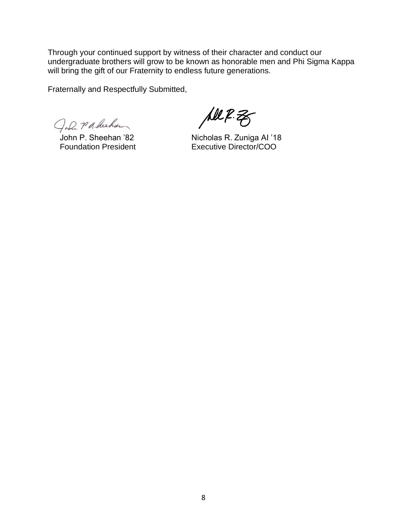Through your continued support by witness of their character and conduct our undergraduate brothers will grow to be known as honorable men and Phi Sigma Kappa will bring the gift of our Fraternity to endless future generations.

Fraternally and Respectfully Submitted,

John Packechan

All R.Z

John P. Sheehan '82 Nicholas R. Zuniga AI '18 Foundation President Executive Director/COO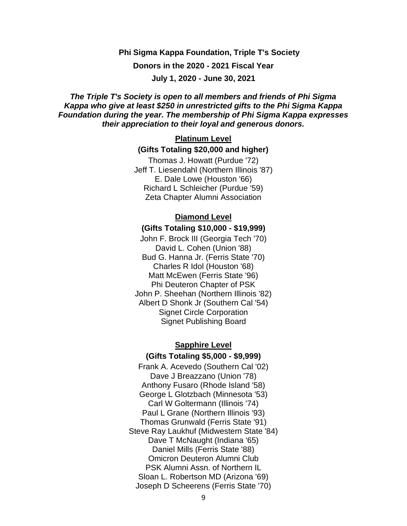**Phi Sigma Kappa Foundation, Triple T's Society Donors in the 2020 - 2021 Fiscal Year July 1, 2020 - June 30, 2021**

*The Triple T's Society is open to all members and friends of Phi Sigma Kappa who give at least \$250 in unrestricted gifts to the Phi Sigma Kappa Foundation during the year. The membership of Phi Sigma Kappa expresses their appreciation to their loyal and generous donors.*

# **Platinum Level (Gifts Totaling \$20,000 and higher)**

Thomas J. Howatt (Purdue '72) Jeff T. Liesendahl (Northern Illinois '87) E. Dale Lowe (Houston '66) Richard L Schleicher (Purdue '59) Zeta Chapter Alumni Association

## **Diamond Level**

#### **(Gifts Totaling \$10,000 - \$19,999)**

John F. Brock III (Georgia Tech '70) David L. Cohen (Union '88) Bud G. Hanna Jr. (Ferris State '70) Charles R Idol (Houston '68) Matt McEwen (Ferris State '96) Phi Deuteron Chapter of PSK John P. Sheehan (Northern Illinois '82) Albert D Shonk Jr (Southern Cal '54) Signet Circle Corporation Signet Publishing Board

#### **Sapphire Level**

#### **(Gifts Totaling \$5,000 - \$9,999)**

Frank A. Acevedo (Southern Cal '02) Dave J Breazzano (Union '78) Anthony Fusaro (Rhode Island '58) George L Glotzbach (Minnesota '53) Carl W Goltermann (Illinois '74) Paul L Grane (Northern Illinois '93) Thomas Grunwald (Ferris State '91) Steve Ray Laukhuf (Midwestern State '84) Dave T McNaught (Indiana '65) Daniel Mills (Ferris State '88) Omicron Deuteron Alumni Club PSK Alumni Assn. of Northern IL Sloan L. Robertson MD (Arizona '69) Joseph D Scheerens (Ferris State '70)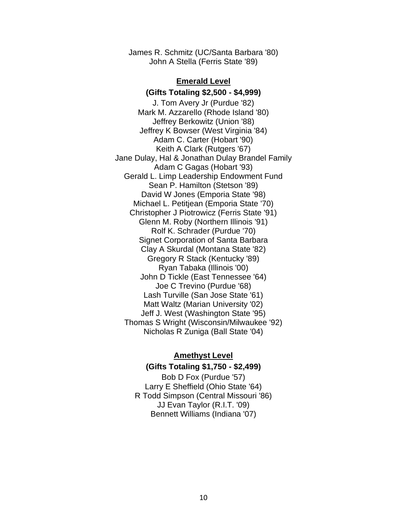James R. Schmitz (UC/Santa Barbara '80) John A Stella (Ferris State '89)

#### **Emerald Level**

**(Gifts Totaling \$2,500 - \$4,999)** J. Tom Avery Jr (Purdue '82) Mark M. Azzarello (Rhode Island '80) Jeffrey Berkowitz (Union '88) Jeffrey K Bowser (West Virginia '84) Adam C. Carter (Hobart '90) Keith A Clark (Rutgers '67) Jane Dulay, Hal & Jonathan Dulay Brandel Family Adam C Gagas (Hobart '93) Gerald L. Limp Leadership Endowment Fund Sean P. Hamilton (Stetson '89) David W Jones (Emporia State '98) Michael L. Petitjean (Emporia State '70) Christopher J Piotrowicz (Ferris State '91) Glenn M. Roby (Northern Illinois '91) Rolf K. Schrader (Purdue '70) Signet Corporation of Santa Barbara Clay A Skurdal (Montana State '82) Gregory R Stack (Kentucky '89) Ryan Tabaka (Illinois '00) John D Tickle (East Tennessee '64) Joe C Trevino (Purdue '68) Lash Turville (San Jose State '61) Matt Waltz (Marian University '02) Jeff J. West (Washington State '95) Thomas S Wright (Wisconsin/Milwaukee '92) Nicholas R Zuniga (Ball State '04)

### **Amethyst Level**

## **(Gifts Totaling \$1,750 - \$2,499)**

Bob D Fox (Purdue '57) Larry E Sheffield (Ohio State '64) R Todd Simpson (Central Missouri '86) JJ Evan Taylor (R.I.T. '09) Bennett Williams (Indiana '07)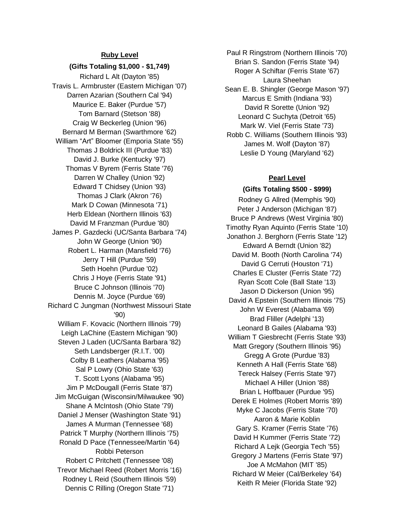#### **Ruby Level**

**(Gifts Totaling \$1,000 - \$1,749)** Richard L Alt (Dayton '85) Travis L. Armbruster (Eastern Michigan '07) Darren Azarian (Southern Cal '94) Maurice E. Baker (Purdue '57) Tom Barnard (Stetson '88) Craig W Beckerleg (Union '96) Bernard M Berman (Swarthmore '62) William "Art" Bloomer (Emporia State '55) Thomas J Boldrick III (Purdue '83) David J. Burke (Kentucky '97) Thomas V Byrem (Ferris State '76) Darren W Challey (Union '92) Edward T Chidsey (Union '93) Thomas J Clark (Akron '76) Mark D Cowan (Minnesota '71) Herb Eldean (Northern Illinois '63) David M Franzman (Purdue '80) James P. Gazdecki (UC/Santa Barbara '74) John W George (Union '90) Robert L. Harman (Mansfield '76) Jerry T Hill (Purdue '59) Seth Hoehn (Purdue '02) Chris J Hoye (Ferris State '91) Bruce C Johnson (Illinois '70) Dennis M. Joyce (Purdue '69) Richard C Jungman (Northwest Missouri State '90) William F. Kovacic (Northern Illinois '79) Leigh LaChine (Eastern Michigan '90) Steven J Laden (UC/Santa Barbara '82) Seth Landsberger (R.I.T. '00) Colby B Leathers (Alabama '95) Sal P Lowry (Ohio State '63) T. Scott Lyons (Alabama '95) Jim P McDougall (Ferris State '87) Jim McGuigan (Wisconsin/Milwaukee '90) Shane A McIntosh (Ohio State '79) Daniel J Menser (Washington State '91) James A Murman (Tennessee '68) Patrick T Murphy (Northern Illinois '75) Ronald D Pace (Tennessee/Martin '64) Robbi Peterson Robert C Pritchett (Tennessee '08) Trevor Michael Reed (Robert Morris '16) Rodney L Reid (Southern Illinois '59) Dennis C Rilling (Oregon State '71)

Paul R Ringstrom (Northern Illinois '70) Brian S. Sandon (Ferris State '94) Roger A Schiftar (Ferris State '67) Laura Sheehan Sean E. B. Shingler (George Mason '97) Marcus E Smith (Indiana '93) David R Sorette (Union '92) Leonard C Suchyta (Detroit '65) Mark W. Viel (Ferris State '73) Robb C. Williams (Southern Illinois '93) James M. Wolf (Dayton '87) Leslie D Young (Maryland '62)

#### **Pearl Level**

**(Gifts Totaling \$500 - \$999)** Rodney G Allred (Memphis '90) Peter J Anderson (Michigan '87) Bruce P Andrews (West Virginia '80) Timothy Ryan Aquinto (Ferris State '10) Jonathon J. Berghorn (Ferris State '12) Edward A Berndt (Union '82) David M. Booth (North Carolina '74) David G Cerruti (Houston '71) Charles E Cluster (Ferris State '72) Ryan Scott Cole (Ball State '13) Jason D Dickerson (Union '95) David A Epstein (Southern Illinois '75) John W Everest (Alabama '69) Brad Fliller (Adelphi '13) Leonard B Gailes (Alabama '93) William T Giesbrecht (Ferris State '93) Matt Gregory (Southern Illinois '95) Gregg A Grote (Purdue '83) Kenneth A Hall (Ferris State '68) Tereck Halsey (Ferris State '97) Michael A Hiller (Union '88) Brian L Hoffbauer (Purdue '95) Derek E Holmes (Robert Morris '89) Myke C Jacobs (Ferris State '70) Aaron & Marie Koblin Gary S. Kramer (Ferris State '76) David H Kummer (Ferris State '72) Richard A Lejk (Georgia Tech '55) Gregory J Martens (Ferris State '97) Joe A McMahon (MIT '85) Richard W Meier (Cal/Berkeley '64) Keith R Meier (Florida State '92)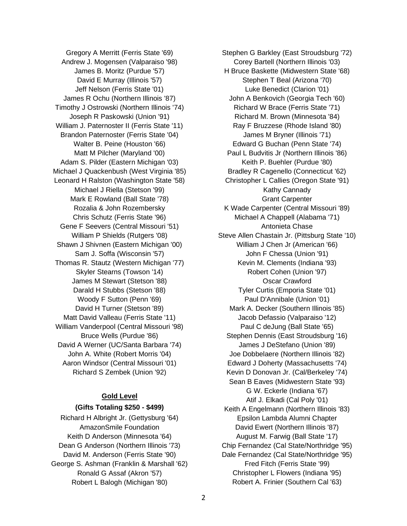Gregory A Merritt (Ferris State '69) Andrew J. Mogensen (Valparaiso '98) James B. Moritz (Purdue '57) David E Murray (Illinois '57) Jeff Nelson (Ferris State '01) James R Ochu (Northern Illinois '87) Timothy J Ostrowski (Northern Illinois '74) Joseph R Paskowski (Union '91) William J. Paternoster II (Ferris State '11) Brandon Paternoster (Ferris State '04) Walter B. Peine (Houston '66) Matt M Pilcher (Maryland '00) Adam S. Pilder (Eastern Michigan '03) Michael J Quackenbush (West Virginia '85) Leonard H Ralston (Washington State '58) Michael J Riella (Stetson '99) Mark E Rowland (Ball State '78) Rozalia & John Rozembersky Chris Schutz (Ferris State '96) Gene F Seevers (Central Missouri '51) William P Shields (Rutgers '08) Shawn J Shivnen (Eastern Michigan '00) Sam J. Soffa (Wisconsin '57) Thomas R. Stautz (Western Michigan '77) Skyler Stearns (Towson '14) James M Stewart (Stetson '88) Darald H Stubbs (Stetson '88) Woody F Sutton (Penn '69) David H Turner (Stetson '89) Matt David Valleau (Ferris State '11) William Vanderpool (Central Missouri '98) Bruce Wells (Purdue '86) David A Werner (UC/Santa Barbara '74) John A. White (Robert Morris '04) Aaron Windsor (Central Missouri '01) Richard S Zembek (Union '92)

#### **Gold Level**

#### **(Gifts Totaling \$250 - \$499)**

Richard H Albright Jr. (Gettysburg '64) AmazonSmile Foundation Keith D Anderson (Minnesota '64) Dean G Anderson (Northern Illinois '73) David M. Anderson (Ferris State '90) George S. Ashman (Franklin & Marshall '62) Ronald G Assaf (Akron '57) Robert L Balogh (Michigan '80)

Stephen G Barkley (East Stroudsburg '72) Corey Bartell (Northern Illinois '03) H Bruce Baskette (Midwestern State '68) Stephen T Beal (Arizona '70) Luke Benedict (Clarion '01) John A Benkovich (Georgia Tech '60) Richard W Brace (Ferris State '71) Richard M. Brown (Minnesota '84) Ray F Bruzzese (Rhode Island '80) James M Bryner (Illinois '71) Edward G Buchan (Penn State '74) Paul L Budvitis Jr (Northern Illinois '86) Keith P. Buehler (Purdue '80) Bradley R Cagenello (Connecticut '62) Christopher L Callies (Oregon State '91) Kathy Cannady Grant Carpenter K Wade Carpenter (Central Missouri '89) Michael A Chappell (Alabama '71) Antonieta Chase Steve Allen Chastain Jr. (Pittsburg State '10) William J Chen Jr (American '66) John F Chessa (Union '91) Kevin M. Clements (Indiana '93) Robert Cohen (Union '97) Oscar Crawford Tyler Curtis (Emporia State '01) Paul D'Annibale (Union '01) Mark A. Decker (Southern Illinois '85) Jacob Defassio (Valparaiso '12) Paul C deJung (Ball State '65) Stephen Dennis (East Stroudsburg '16) James J DeStefano (Union '89) Joe Dobbelaere (Northern Illinois '82) Edward J Doherty (Massachusetts '74) Kevin D Donovan Jr. (Cal/Berkeley '74) Sean B Eaves (Midwestern State '93) G W. Eckerle (Indiana '67) Atif J. Elkadi (Cal Poly '01) Keith A Engelmann (Northern Illinois '83) Epsilon Lambda Alumni Chapter David Ewert (Northern Illinois '87) August M. Farwig (Ball State '17) Chip Fernandez (Cal State/Northridge '95) Dale Fernandez (Cal State/Northridge '95) Fred Fitch (Ferris State '99) Christopher L Flowers (Indiana '95) Robert A. Frinier (Southern Cal '63)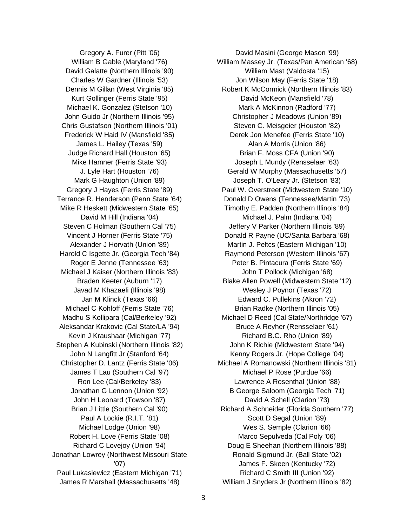Gregory A. Furer (Pitt '06) William B Gable (Maryland '76) David Galatte (Northern Illinois '90) Charles W Gardner (Illinois '53) Dennis M Gillan (West Virginia '85) Kurt Gollinger (Ferris State '95) Michael K. Gonzalez (Stetson '10) John Guido Jr (Northern Illinois '95) Chris Gustafson (Northern Illinois '01) Frederick W Haid IV (Mansfield '85) James L. Hailey (Texas '59) Judge Richard Hall (Houston '65) Mike Hamner (Ferris State '93) J. Lyle Hart (Houston '76) Mark G Haughton (Union '89) Gregory J Hayes (Ferris State '89) Terrance R. Henderson (Penn State '64) Mike R Heskett (Midwestern State '65) David M Hill (Indiana '04) Steven C Holman (Southern Cal '75) Vincent J Horner (Ferris State '75) Alexander J Horvath (Union '89) Harold C Isgette Jr. (Georgia Tech '84) Roger E Jenne (Tennessee '63) Michael J Kaiser (Northern Illinois '83) Braden Keeter (Auburn '17) Javad M Khazaeli (Illinois '98) Jan M Klinck (Texas '66) Michael C Kohloff (Ferris State '76) Madhu S Kollipara (Cal/Berkeley '92) Aleksandar Krakovic (Cal State/LA '94) Kevin J Kraushaar (Michigan '77) Stephen A Kubinski (Northern Illinois '82) John N Langfitt Jr (Stanford '64) Christopher D. Lantz (Ferris State '06) James T Lau (Southern Cal '97) Ron Lee (Cal/Berkeley '83) Jonathan G Lennon (Union '92) John H Leonard (Towson '87) Brian J Little (Southern Cal '90) Paul A Lockie (R.I.T. '81) Michael Lodge (Union '98) Robert H. Love (Ferris State '08) Richard C Lovejoy (Union '94) Jonathan Lowrey (Northwest Missouri State '07) Paul Lukasiewicz (Eastern Michigan '71) James R Marshall (Massachusetts '48)

David Masini (George Mason '99) William Massey Jr. (Texas/Pan American '68) William Mast (Valdosta '15) Jon Wilson May (Ferris State '18) Robert K McCormick (Northern Illinois '83) David McKeon (Mansfield '78) Mark A McKinnon (Radford '77) Christopher J Meadows (Union '89) Steven C. Meisgeier (Houston '82) Derek Jon Menefee (Ferris State '10) Alan A Morris (Union '86) Brian F. Moss CFA (Union '90) Joseph L Mundy (Rensselaer '63) Gerald W Murphy (Massachusetts '57) Joseph T. O'Leary Jr. (Stetson '83) Paul W. Overstreet (Midwestern State '10) Donald D Owens (Tennessee/Martin '73) Timothy E. Padden (Northern Illinois '84) Michael J. Palm (Indiana '04) Jeffery V Parker (Northern Illinois '89) Donald R Payne (UC/Santa Barbara '68) Martin J. Peltcs (Eastern Michigan '10) Raymond Peterson (Western Illinois '67) Peter B. Pintacura (Ferris State '69) John T Pollock (Michigan '68) Blake Allen Powell (Midwestern State '12) Wesley J Poynor (Texas '72) Edward C. Pullekins (Akron '72) Brian Radke (Northern Illinois '05) Michael D Reed (Cal State/Northridge '67) Bruce A Reyher (Rensselaer '61) Richard B.C. Rho (Union '89) John K Richie (Midwestern State '94) Kenny Rogers Jr. (Hope College '04) Michael A Romanowski (Northern Illinois '81) Michael P Rose (Purdue '66) Lawrence A Rosenthal (Union '88) B George Saloom (Georgia Tech '71) David A Schell (Clarion '73) Richard A Schneider (Florida Southern '77) Scott D Segal (Union '89) Wes S. Semple (Clarion '66) Marco Sepulveda (Cal Poly '06) Doug E Sheehan (Northern Illinois '88) Ronald Sigmund Jr. (Ball State '02) James F. Skeen (Kentucky '72) Richard C Smith III (Union '92) William J Snyders Jr (Northern Illinois '82)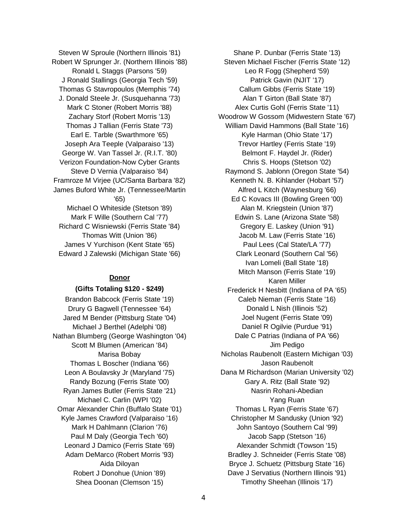Steven W Sproule (Northern Illinois '81) Robert W Sprunger Jr. (Northern Illinois '88) Ronald L Staggs (Parsons '59) J Ronald Stallings (Georgia Tech '59) Thomas G Stavropoulos (Memphis '74) J. Donald Steele Jr. (Susquehanna '73) Mark C Stoner (Robert Morris '88) Zachary Storf (Robert Morris '13) Thomas J Tallian (Ferris State '73) Earl E. Tarble (Swarthmore '65) Joseph Ara Teeple (Valparaiso '13) George W. Van Tassel Jr. (R.I.T. '80) Verizon Foundation-Now Cyber Grants Steve D Vernia (Valparaiso '84) Framroze M Virjee (UC/Santa Barbara '82) James Buford White Jr. (Tennessee/Martin '65) Michael O Whiteside (Stetson '89) Mark F Wille (Southern Cal '77) Richard C Wisniewski (Ferris State '84) Thomas Witt (Union '86) James V Yurchison (Kent State '65) Edward J Zalewski (Michigan State '66)

#### **Donor**

#### **(Gifts Totaling \$120 - \$249)**

Brandon Babcock (Ferris State '19) Drury G Bagwell (Tennessee '64) Jared M Bender (Pittsburg State '04) Michael J Berthel (Adelphi '08) Nathan Blumberg (George Washington '04) Scott M Blumen (American '84) Marisa Bobay Thomas L Boscher (Indiana '66) Leon A Boulavsky Jr (Maryland '75) Randy Bozung (Ferris State '00) Ryan James Butler (Ferris State '21) Michael C. Carlin (WPI '02) Omar Alexander Chin (Buffalo State '01) Kyle James Crawford (Valparaiso '16) Mark H Dahlmann (Clarion '76) Paul M Daly (Georgia Tech '60) Leonard J Damico (Ferris State '69) Adam DeMarco (Robert Morris '93) Aida Diloyan Robert J Donohue (Union '89) Shea Doonan (Clemson '15)

Shane P. Dunbar (Ferris State '13) Steven Michael Fischer (Ferris State '12) Leo R Fogg (Shepherd '59) Patrick Gavin (NJIT '17) Callum Gibbs (Ferris State '19) Alan T Girton (Ball State '87) Alex Curtis Gohl (Ferris State '11) Woodrow W Gossom (Midwestern State '67) William David Hammons (Ball State '16) Kyle Harman (Ohio State '17) Trevor Hartley (Ferris State '19) Belmont F. Haydel Jr. (Rider) Chris S. Hoops (Stetson '02) Raymond S. Jablonn (Oregon State '54) Kenneth N. B. Kihlander (Hobart '57) Alfred L Kitch (Waynesburg '66) Ed C Kovacs III (Bowling Green '00) Alan M. Kriegstein (Union '87) Edwin S. Lane (Arizona State '58) Gregory E. Laskey (Union '91) Jacob M. Law (Ferris State '16) Paul Lees (Cal State/LA '77) Clark Leonard (Southern Cal '56) Ivan Lomeli (Ball State '18) Mitch Manson (Ferris State '19) Karen Miller Frederick H Nesbitt (Indiana of PA '65) Caleb Nieman (Ferris State '16) Donald L Nish (Illinois '52) Joel Nugent (Ferris State '09) Daniel R Ogilvie (Purdue '91) Dale C Patrias (Indiana of PA '66) Jim Pedigo Nicholas Raubenolt (Eastern Michigan '03) Jason Raubenolt Dana M Richardson (Marian University '02) Gary A. Ritz (Ball State '92) Nasrin Rohani-Abedian Yang Ruan Thomas L Ryan (Ferris State '67) Christopher M Sandusky (Union '92) John Santoyo (Southern Cal '99) Jacob Sapp (Stetson '16) Alexander Schmidt (Towson '15) Bradley J. Schneider (Ferris State '08) Bryce J. Schuetz (Pittsburg State '16) Dave J Servatius (Northern Illinois '91) Timothy Sheehan (Illinois '17)